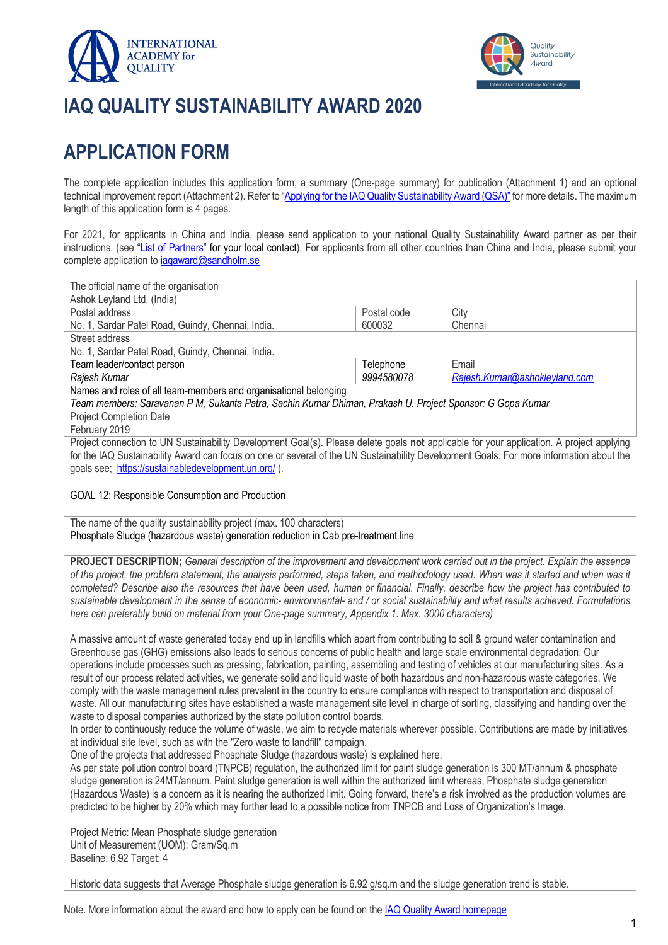



# **IAQ QUALITY SUSTAINABILITY AWARD 2020**

## **APPLICATION FORM**

The complete application includes this application form, a summary (One-page summary) for publication (Attachment 1) and an optional technical improvement report (Attachment 2). Refer to "Applying for the IAQ Quality Sustainability Award (QSA)" for more details. The maximum length of this application form is 4 pages.

For 2021, for applicants in China and India, please send application to your national Quality Sustainability Award partner as per their instructions. (see "List of Partners" for your local contact). For applicants from all other countries than China and India, please submit your complete application to iaqaward@sandholm.se

| The official name of the organisation                                                                                                                                                                                      |                         |                                        |
|----------------------------------------------------------------------------------------------------------------------------------------------------------------------------------------------------------------------------|-------------------------|----------------------------------------|
| Ashok Leyland Ltd. (India)                                                                                                                                                                                                 |                         |                                        |
| Postal address                                                                                                                                                                                                             | Postal code             | City                                   |
| No. 1, Sardar Patel Road, Guindy, Chennai, India.                                                                                                                                                                          | 600032                  | Chennai                                |
| Street address                                                                                                                                                                                                             |                         |                                        |
| No. 1, Sardar Patel Road, Guindy, Chennai, India.                                                                                                                                                                          |                         |                                        |
| Team leader/contact person                                                                                                                                                                                                 | Telephone<br>9994580078 | Email<br>Rajesh.Kumar@ashokleyland.com |
| Rajesh Kumar<br>Names and roles of all team-members and organisational belonging                                                                                                                                           |                         |                                        |
| Team members: Saravanan P M, Sukanta Patra, Sachin Kumar Dhiman, Prakash U. Project Sponsor: G Gopa Kumar                                                                                                                  |                         |                                        |
| <b>Project Completion Date</b>                                                                                                                                                                                             |                         |                                        |
| February 2019                                                                                                                                                                                                              |                         |                                        |
| Project connection to UN Sustainability Development Goal(s). Please delete goals not applicable for your application. A project applying                                                                                   |                         |                                        |
| for the IAQ Sustainability Award can focus on one or several of the UN Sustainability Development Goals. For more information about the                                                                                    |                         |                                        |
| goals see; https://sustainabledevelopment.un.org/).                                                                                                                                                                        |                         |                                        |
|                                                                                                                                                                                                                            |                         |                                        |
| GOAL 12: Responsible Consumption and Production                                                                                                                                                                            |                         |                                        |
|                                                                                                                                                                                                                            |                         |                                        |
| The name of the quality sustainability project (max. 100 characters)                                                                                                                                                       |                         |                                        |
| Phosphate Sludge (hazardous waste) generation reduction in Cab pre-treatment line                                                                                                                                          |                         |                                        |
|                                                                                                                                                                                                                            |                         |                                        |
| PROJECT DESCRIPTION; General description of the improvement and development work carried out in the project. Explain the essence                                                                                           |                         |                                        |
| of the project, the problem statement, the analysis performed, steps taken, and methodology used. When was it started and when was it                                                                                      |                         |                                        |
| completed? Describe also the resources that have been used, human or financial. Finally, describe how the project has contributed to                                                                                       |                         |                                        |
| sustainable development in the sense of economic-environmental- and / or social sustainability and what results achieved. Formulations                                                                                     |                         |                                        |
| here can preferably build on material from your One-page summary, Appendix 1. Max. 3000 characters)                                                                                                                        |                         |                                        |
|                                                                                                                                                                                                                            |                         |                                        |
| A massive amount of waste generated today end up in landfills which apart from contributing to soil & ground water contamination and                                                                                       |                         |                                        |
| Greenhouse gas (GHG) emissions also leads to serious concerns of public health and large scale environmental degradation. Our                                                                                              |                         |                                        |
| operations include processes such as pressing, fabrication, painting, assembling and testing of vehicles at our manufacturing sites. As a                                                                                  |                         |                                        |
| result of our process related activities, we generate solid and liquid waste of both hazardous and non-hazardous waste categories. We                                                                                      |                         |                                        |
| comply with the waste management rules prevalent in the country to ensure compliance with respect to transportation and disposal of                                                                                        |                         |                                        |
| waste. All our manufacturing sites have established a waste management site level in charge of sorting, classifying and handing over the                                                                                   |                         |                                        |
| waste to disposal companies authorized by the state pollution control boards.<br>In order to continuously reduce the volume of waste, we aim to recycle materials wherever possible. Contributions are made by initiatives |                         |                                        |
| at individual site level, such as with the "Zero waste to landfill" campaign.                                                                                                                                              |                         |                                        |
| One of the projects that addressed Phosphate Sludge (hazardous waste) is explained here.                                                                                                                                   |                         |                                        |
| As per state pollution control board (TNPCB) regulation, the authorized limit for paint sludge generation is 300 MT/annum & phosphate                                                                                      |                         |                                        |
| sludge generation is 24MT/annum. Paint sludge generation is well within the authorized limit whereas, Phosphate sludge generation                                                                                          |                         |                                        |
| (Hazardous Waste) is a concern as it is nearing the authorized limit. Going forward, there's a risk involved as the production volumes are                                                                                 |                         |                                        |
| predicted to be higher by 20% which may further lead to a possible notice from TNPCB and Loss of Organization's Image.                                                                                                     |                         |                                        |
|                                                                                                                                                                                                                            |                         |                                        |
| Project Metric: Mean Phosphate sludge generation                                                                                                                                                                           |                         |                                        |
| Unit of Measurement (UOM): Gram/Sq.m                                                                                                                                                                                       |                         |                                        |
| Baseline: 6.92 Target: 4                                                                                                                                                                                                   |                         |                                        |
|                                                                                                                                                                                                                            |                         |                                        |
| Historic data suggests that Average Phosphate sludge generation is 6.92 g/sq.m and the sludge generation trend is stable.                                                                                                  |                         |                                        |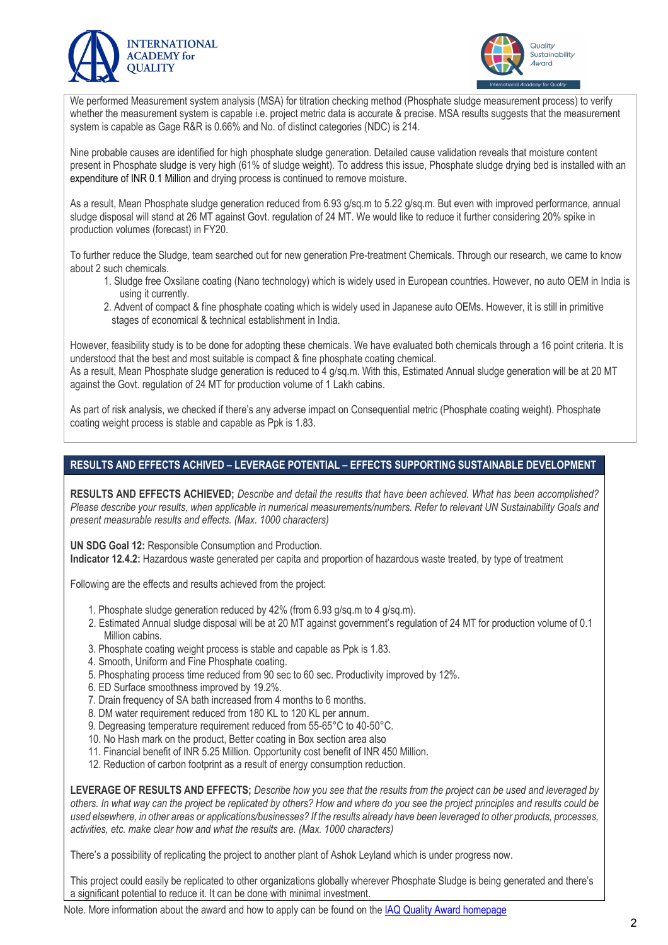



We performed Measurement system analysis (MSA) for titration checking method (Phosphate sludge measurement process) to verify whether the measurement system is capable i.e. project metric data is accurate & precise. MSA results suggests that the measurement system is capable as Gage R&R is 0.66% and No. of distinct categories (NDC) is 214.

Nine probable causes are identified for high phosphate sludge generation. Detailed cause validation reveals that moisture content present in Phosphate sludge is very high (61% of sludge weight). To address this issue, Phosphate sludge drying bed is installed with an expenditure of INR 0.1 Million and drying process is continued to remove moisture.

As a result, Mean Phosphate sludge generation reduced from 6.93 g/sq.m to 5.22 g/sq.m. But even with improved performance, annual sludge disposal will stand at 26 MT against Govt. regulation of 24 MT. We would like to reduce it further considering 20% spike in production volumes (forecast) in FY20.

To further reduce the Sludge, team searched out for new generation Pre-treatment Chemicals. Through our research, we came to know about 2 such chemicals.

- 1. Sludge free Oxsilane coating (Nano technology) which is widely used in European countries. However, no auto OEM in India is using it currently.
- 2. Advent of compact & fine phosphate coating which is widely used in Japanese auto OEMs. However, it is still in primitive stages of economical & technical establishment in India.

However, feasibility study is to be done for adopting these chemicals. We have evaluated both chemicals through a 16 point criteria. It is understood that the best and most suitable is compact & fine phosphate coating chemical.

As a result, Mean Phosphate sludge generation is reduced to 4 g/sq.m. With this, Estimated Annual sludge generation will be at 20 MT against the Govt. regulation of 24 MT for production volume of 1 Lakh cabins.

As part of risk analysis, we checked if there's any adverse impact on Consequential metric (Phosphate coating weight). Phosphate coating weight process is stable and capable as Ppk is 1.83.

#### **RESULTS AND EFFECTS ACHIVED – LEVERAGE POTENTIAL – EFFECTS SUPPORTING SUSTAINABLE DEVELOPMENT**

**RESULTS AND EFFECTS ACHIEVED;** *Describe and detail the results that have been achieved. What has been accomplished? Please describe your results, when applicable in numerical measurements/numbers. Refer to relevant UN Sustainability Goals and present measurable results and effects. (Max. 1000 characters)*

**UN SDG Goal 12:** Responsible Consumption and Production.

**Indicator 12.4.2:** Hazardous waste generated per capita and proportion of hazardous waste treated, by type of treatment

Following are the effects and results achieved from the project:

- 1. Phosphate sludge generation reduced by 42% (from 6.93 g/sq.m to 4 g/sq.m).
- 2. Estimated Annual sludge disposal will be at 20 MT against government's regulation of 24 MT for production volume of 0.1 Million cabins.
- 3. Phosphate coating weight process is stable and capable as Ppk is 1.83.
- 4. Smooth, Uniform and Fine Phosphate coating.
- 5. Phosphating process time reduced from 90 sec to 60 sec. Productivity improved by 12%.
- 6. ED Surface smoothness improved by 19.2%.
- 7. Drain frequency of SA bath increased from 4 months to 6 months.
- 8. DM water requirement reduced from 180 KL to 120 KL per annum.
- 9. Degreasing temperature requirement reduced from 55-65°C to 40-50°C.
- 10. No Hash mark on the product, Better coating in Box section area also
- 11. Financial benefit of INR 5.25 Million. Opportunity cost benefit of INR 450 Million.
- 12. Reduction of carbon footprint as a result of energy consumption reduction.

**LEVERAGE OF RESULTS AND EFFECTS;** *Describe how you see that the results from the project can be used and leveraged by others. In what way can the project be replicated by others? How and where do you see the project principles and results could be used elsewhere, in other areas or applications/businesses? If the results already have been leveraged to other products, processes, activities, etc. make clear how and what the results are. (Max. 1000 characters)*

There's a possibility of replicating the project to another plant of Ashok Leyland which is under progress now.

This project could easily be replicated to other organizations globally wherever Phosphate Sludge is being generated and there's a significant potential to reduce it. It can be done with minimal investment.

Note. More information about the award and how to apply can be found on the IAQ Quality Award homepage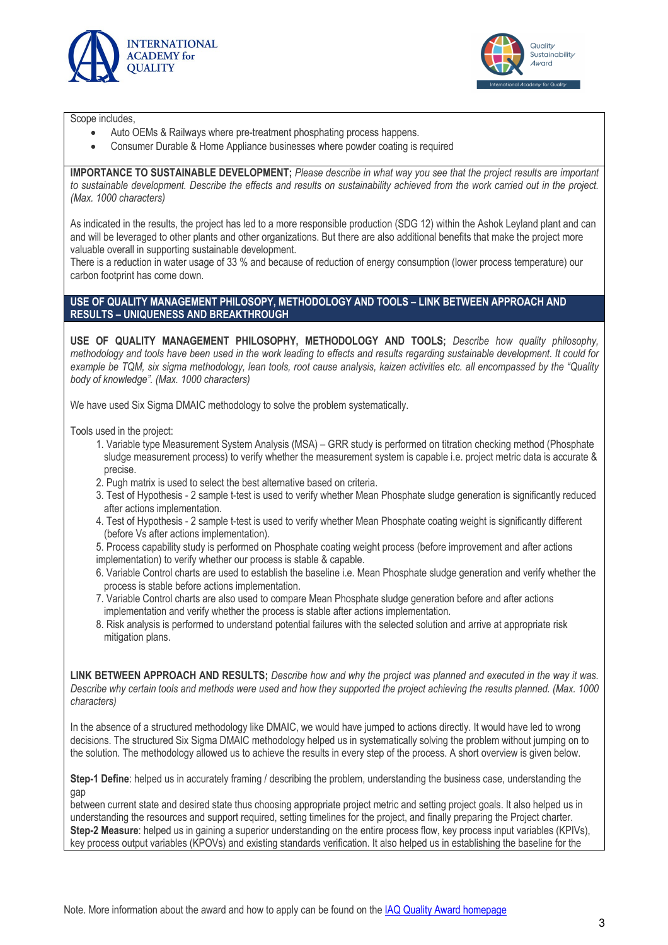



Scope includes,

- Auto OEMs & Railways where pre-treatment phosphating process happens.
- Consumer Durable & Home Appliance businesses where powder coating is required

**IMPORTANCE TO SUSTAINABLE DEVELOPMENT;** *Please describe in what way you see that the project results are important to sustainable development. Describe the effects and results on sustainability achieved from the work carried out in the project. (Max. 1000 characters)*

As indicated in the results, the project has led to a more responsible production (SDG 12) within the Ashok Leyland plant and can and will be leveraged to other plants and other organizations. But there are also additional benefits that make the project more valuable overall in supporting sustainable development.

There is a reduction in water usage of 33 % and because of reduction of energy consumption (lower process temperature) our carbon footprint has come down.

#### **USE OF QUALITY MANAGEMENT PHILOSOPY, METHODOLOGY AND TOOLS – LINK BETWEEN APPROACH AND RESULTS – UNIQUENESS AND BREAKTHROUGH**

**USE OF QUALITY MANAGEMENT PHILOSOPHY, METHODOLOGY AND TOOLS;** *Describe how quality philosophy, methodology and tools have been used in the work leading to effects and results regarding sustainable development. It could for example be TQM, six sigma methodology, lean tools, root cause analysis, kaizen activities etc. all encompassed by the "Quality body of knowledge". (Max. 1000 characters)*

We have used Six Sigma DMAIC methodology to solve the problem systematically.

Tools used in the project:

- 1. Variable type Measurement System Analysis (MSA) GRR study is performed on titration checking method (Phosphate sludge measurement process) to verify whether the measurement system is capable i.e. project metric data is accurate & precise.
- 2. Pugh matrix is used to select the best alternative based on criteria.
- 3. Test of Hypothesis 2 sample t-test is used to verify whether Mean Phosphate sludge generation is significantly reduced after actions implementation.
- 4. Test of Hypothesis 2 sample t-test is used to verify whether Mean Phosphate coating weight is significantly different (before Vs after actions implementation).

5. Process capability study is performed on Phosphate coating weight process (before improvement and after actions implementation) to verify whether our process is stable & capable.

- 6. Variable Control charts are used to establish the baseline i.e. Mean Phosphate sludge generation and verify whether the process is stable before actions implementation.
- 7. Variable Control charts are also used to compare Mean Phosphate sludge generation before and after actions implementation and verify whether the process is stable after actions implementation.
- 8. Risk analysis is performed to understand potential failures with the selected solution and arrive at appropriate risk mitigation plans.

**LINK BETWEEN APPROACH AND RESULTS;** *Describe how and why the project was planned and executed in the way it was. Describe why certain tools and methods were used and how they supported the project achieving the results planned. (Max. 1000 characters)*

In the absence of a structured methodology like DMAIC, we would have jumped to actions directly. It would have led to wrong decisions. The structured Six Sigma DMAIC methodology helped us in systematically solving the problem without jumping on to the solution. The methodology allowed us to achieve the results in every step of the process. A short overview is given below.

**Step-1 Define**: helped us in accurately framing / describing the problem, understanding the business case, understanding the gap

between current state and desired state thus choosing appropriate project metric and setting project goals. It also helped us in understanding the resources and support required, setting timelines for the project, and finally preparing the Project charter. **Step-2 Measure**: helped us in gaining a superior understanding on the entire process flow, key process input variables (KPIVs), key process output variables (KPOVs) and existing standards verification. It also helped us in establishing the baseline for the